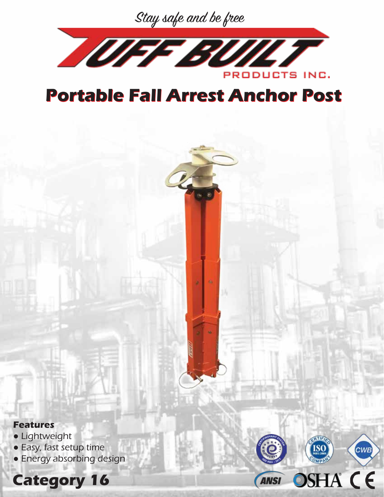



## **Portable Fall Arrest Anchor Post Portable Fall Arrest Anchor Post**

**Features**

- Lightweight
- Easy, fast setup time
- Energy absorbing design



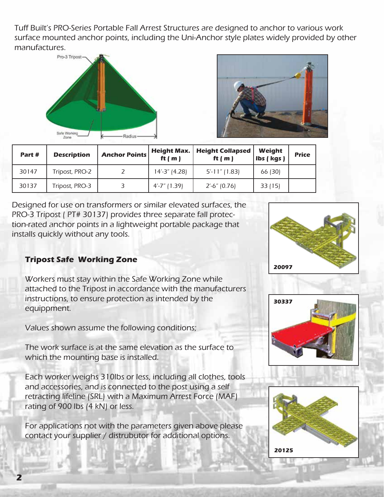Tuff Built's PRO-Series Portable Fall Arrest Structures are designed to anchor to various work surface mounted anchor points, including the Uni-Anchor style plates widely provided by other manufactures.





| Part # | <b>Description</b> | <b>Anchor Points</b> | <b>Height Max.</b><br>ft $(m)$ | <b>Height Collapsed</b><br>ft $(m)$ | Weight<br>Ibs (kgs) | <b>Price</b> |
|--------|--------------------|----------------------|--------------------------------|-------------------------------------|---------------------|--------------|
| 30147  | Tripost, PRO-2     |                      | 14'-3" (4.28)                  | $5'$ -11" (1.83)                    | 66 (30)             |              |
| 30137  | Tripost, PRO-3     |                      | $4' - 7''$ (1.39)              | $2' - 6'' (0.76)$                   | 33(15)              |              |

Designed for use on transformers or similar elevated surfaces, the PRO-3 Tripost ( PT# 30137) provides three separate fall protection-rated anchor points in a lightweight portable package that installs quickly without any tools.

## **Tripost Safe Working Zone**

Workers must stay within the Safe Working Zone while attached to the Tripost in accordance with the manufacturers instructions, to ensure protection as intended by the equippment.

Values shown assume the following conditions;

The work surface is at the same elevation as the surface to which the mounting base is installed.

Each worker weighs 310lbs or less, including all clothes, tools and accessories, and is connected to the post using a self retracting lifeline (SRL) with a Maximum Arrest Force (MAF) rating of 900 lbs (4 kN) or less.

For applications not with the parameters given above please contact your supplier / distrubutor for additional options.





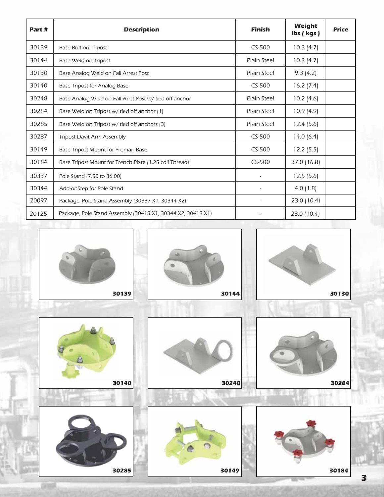| Part# | <b>Description</b>                                          | <b>Finish</b>            | Weight<br>Ibs (kgs) | <b>Price</b> |
|-------|-------------------------------------------------------------|--------------------------|---------------------|--------------|
| 30139 | <b>Base Bolt on Tripost</b>                                 | $CS-500$                 | 10.3(4.7)           |              |
| 30144 | Base Weld on Tripost                                        | <b>Plain Steel</b>       | 10.3(4.7)           |              |
| 30130 | Base Analog Weld on Fall Arrest Post                        | <b>Plain Steel</b>       | 9.3(4.2)            |              |
| 30140 | <b>Base Tripost for Analog Base</b>                         | $CS-500$                 | 16.2(7.4)           |              |
| 30248 | Base Analog Weld on Fall Arrst Post w/ tied off anchor      | <b>Plain Steel</b>       | 10.2(4.6)           |              |
| 30284 | Base Weld on Tripost w/ tied off anchor (1)                 | <b>Plain Steel</b>       | 10.9(4.9)           |              |
| 30285 | Base Weld on Tripost w/ tied off anchors (3)                | <b>Plain Steel</b>       | 12.4(5.6)           |              |
| 30287 | <b>Tripost Davit Arm Assembly</b>                           | $CS-500$                 | 14.0(6.4)           |              |
| 30149 | Base Tripost Mount for Proman Base                          | $CS-500$                 | 12.2(5.5)           |              |
| 30184 | Base Tripost Mount for Trench Plate (1.25 coil Thread)      | $CS-500$                 | 37.0 (16.8)         |              |
| 30337 | Pole Stand (7.50 to 36.00)                                  | $\overline{\phantom{a}}$ | 12.5(5.6)           |              |
| 30344 | Add-onStep for Pole Stand                                   |                          | 4.0(1.8)            |              |
| 20097 | Package, Pole Stand Assembly (30337 X1, 30344 X2)           |                          | 23.0 (10.4)         |              |
| 20125 | Package, Pole Stand Assembly (30418 X1, 30344 X2, 30419 X1) |                          | 23.0 (10.4)         |              |